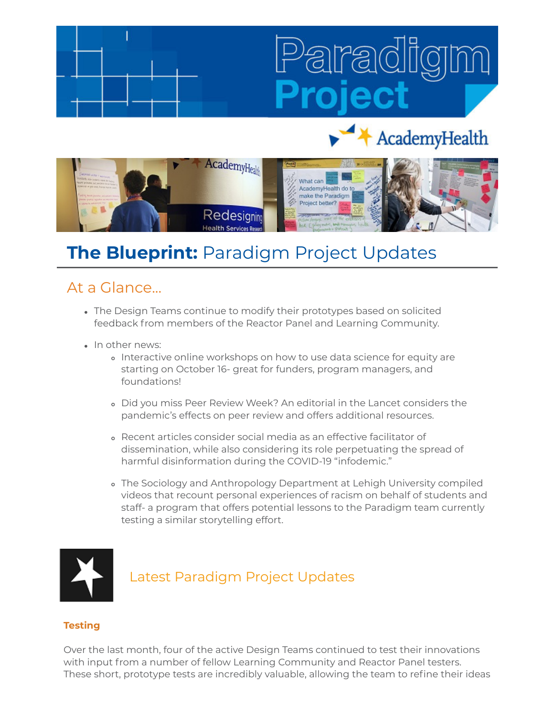# AcademyHealth



# **The Blueprint:** Paradigm Project Updates

# At a Glance...

- The Design Teams continue to modify their prototypes based on solicited feedback from members of the Reactor Panel and Learning Community.
- In other news:
	- Interactive online workshops on how to use data science for equity are starting on October 16- great for funders, program managers, and foundations!
	- Did you miss Peer Review Week? An editorial in the Lancet considers the pandemic's effects on peer review and offers additional resources.
	- Recent articles consider social media as an effective facilitator of dissemination, while also considering its role perpetuating the spread of harmful disinformation during the COVID-19 "infodemic."
	- The Sociology and Anthropology Department at Lehigh University compiled videos that recount personal experiences of racism on behalf of students and staff- a program that offers potential lessons to the Paradigm team currently testing a similar storytelling effort.



# Latest Paradigm Project Updates

#### **Testing**

Over the last month, four of the active Design Teams continued to test their innovations with input from a number of fellow Learning Community and Reactor Panel testers. These short, prototype tests are incredibly valuable, allowing the team to refine their ideas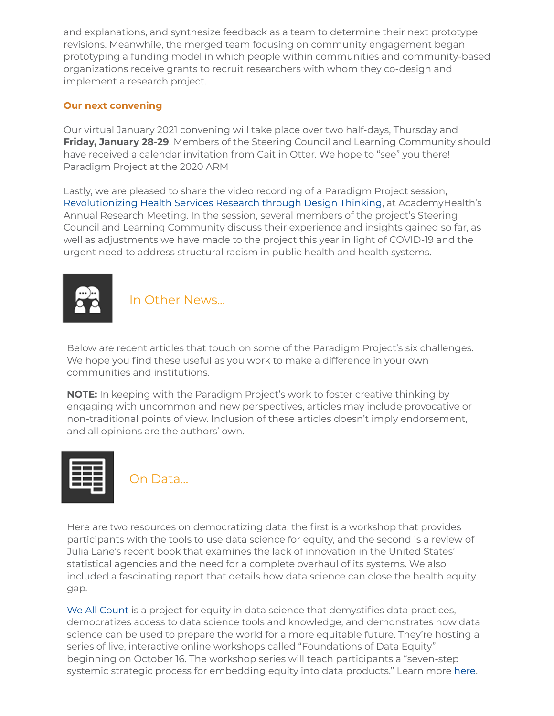and explanations, and synthesize feedback as a team to determine their next prototype revisions. Meanwhile, the merged team focusing on community engagement began prototyping a funding model in which people within communities and community-based organizations receive grants to recruit researchers with whom they co-design and implement a research project.

### **Our next convening**

Our virtual January 2021 convening will take place over two half-days, Thursday and **Friday, January 28-29**. Members of the Steering Council and Learning Community should have received a calendar invitation from Caitlin Otter. We hope to "see" you there! Paradigm Project at the 2020 ARM

Lastly, we are pleased to share the video recording of a Paradigm Project session, [Revolutionizing Health Services Research through Design Thinking,](https://www.youtube.com/watch?v=xyzPTBat6HQ&feature=youtu.be) at AcademyHealth's Annual Research Meeting. In the session, several members of the project's Steering Council and Learning Community discuss their experience and insights gained so far, as well as adjustments we have made to the project this year in light of COVID-19 and the urgent need to address structural racism in public health and health systems.



In Other News...

Below are recent articles that touch on some of the Paradigm Project's six challenges. We hope you find these useful as you work to make a difference in your own communities and institutions.

**NOTE:** In keeping with the Paradigm Project's work to foster creative thinking by engaging with uncommon and new perspectives, articles may include provocative or non-traditional points of view. Inclusion of these articles doesn't imply endorsement, and all opinions are the authors' own.



On Data...

Here are two resources on democratizing data: the first is a workshop that provides participants with the tools to use data science for equity, and the second is a review of Julia Lane's recent book that examines the lack of innovation in the United States' statistical agencies and the need for a complete overhaul of its systems. We also included a fascinating report that details how data science can close the health equity gap.

[We All Count](https://weallcount.com/) is a project for equity in data science that demystifies data practices, democratizes access to data science tools and knowledge, and demonstrates how data science can be used to prepare the world for a more equitable future. They're hosting a series of live, interactive online workshops called "Foundations of Data Equity" beginning on October 16. The workshop series will teach participants a "seven-step systemic strategic process for embedding equity into data products." Learn more [here.](https://weallcount.com/workshop-landing-page/)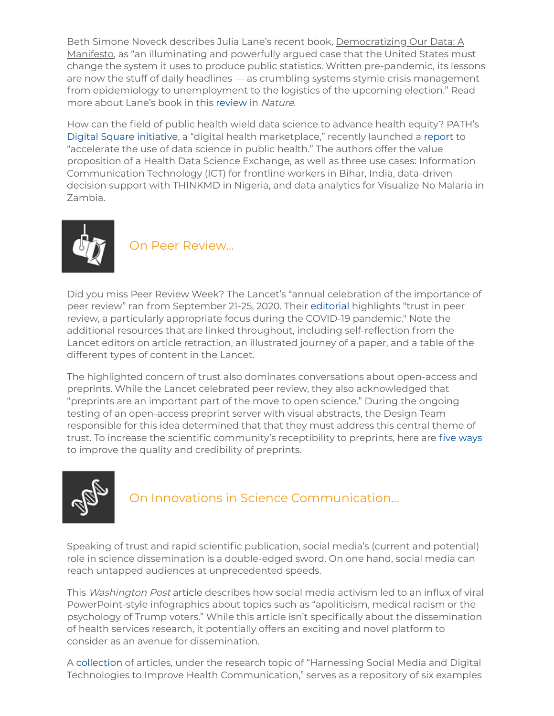Beth Simone Noveck describes Julia Lane's recent book, Democratizing Our Data: A Manifesto, as "an illuminating and powerfully argued case that the United States must change the system it uses to produce public statistics. Written pre-pandemic, its lessons are now the stuff of daily headlines — as crumbling systems stymie crisis management from epidemiology to unemployment to the logistics of the upcoming election." Read more about Lane's book in this [review i](https://www.nature.com/articles/d41586-020-02733-3?utm_content=141281330&utm_medium=social&utm_source=twitter&hss_channel=tw-20774514)n Nature.

How can the field of public health wield data science to advance health equity? PATH's [Digital Square initiative](https://digitalsquare.org/), a "digital health marketplace," recently launched a [report](https://datascienceforhealth.org/) to "accelerate the use of data science in public health." The authors offer the value proposition of a Health Data Science Exchange, as well as three use cases: Information Communication Technology (ICT) for frontline workers in Bihar, India, data-driven decision support with THINKMD in Nigeria, and data analytics for Visualize No Malaria in Zambia.



### On Peer Review…

Did you miss Peer Review Week? The Lancet's "annual celebration of the importance of peer review" ran from September 21-25, 2020. Their [editorial](https://info.thelancet.com/e2t/tc/VVx3sn98j6MJW8Wx3G62YvsjRW6cqVBw4ghjQ6N54gmNw5nxGrV3Zsc37CgPLTW1-Nsz69246n3W5YnqgY7lQC7XW8dWydw70ybHCW9cSXtG6dfSlnW5nLnVC2Ss2bNW8XdBcT5bzKt-W7qsXYW81NwgVW5TBjW-6Yh3kRW1P0qHq5F2YPfN7h5wNv7xl0-N562ydHB2Hd2W2P7d9f42S9Y6W7-fchQ4L3mDXW5g9TxQ64nYrhW8BdNdL8FqwF2W6slKhd5LVcbZW8pcJX28m5NCCW6c6VDr5GMPBQW6vBTyn6LVphXW5PC7tK3FSdCDN81sMtzL6s0LW7DFRpD1GqwFNW5qj4BF2P9J2yW3_ZQZM7jrtcZVSt1YW5ngNdMW1SRQqJ23Lq4WW2Ysmdy6w-zzPV_Q87y8hW5ljW9djjLY2kDvHQW8bvgyP1_xDF_W7tMVv42vHhSgW30hP-93w0DXQW6_8Bs41ZXkcHW82H1mf170s7y3p6D1) highlights "trust in peer review, a particularly appropriate focus during the COVID-19 pandemic." Note the additional resources that are linked throughout, including self-reflection from the Lancet editors on article retraction, an illustrated journey of a paper, and a table of the different types of content in the Lancet.

The highlighted concern of trust also dominates conversations about open-access and preprints. While the Lancet celebrated peer review, they also acknowledged that "preprints are an important part of the move to open science." During the ongoing testing of an open-access preprint server with visual abstracts, the Design Team responsible for this idea determined that that they must address this central theme of trust. To increase the scientific community's receptibility to preprints, here are five ways to improve the quality and credibility of preprints.



# On Innovations in Science Communication...

Speaking of trust and rapid scientific publication, social media's (current and potential) role in science dissemination is a double-edged sword. On one hand, social media can reach untapped audiences at unprecedented speeds.

This Washington Post [article](https://www.washingtonpost.com/technology/2020/08/15/instagram-race-activism-slideshow-graphics/) describes how social media activism led to an influx of viral PowerPoint-style infographics about topics such as "apoliticism, medical racism or the psychology of Trump voters." While this article isn't specifically about the dissemination of health services research, it potentially offers an exciting and novel platform to consider as an avenue for dissemination.

A [collection](https://www.frontiersin.org/research-topics/9865/harnessing-social-media-and-digital-technologies-to-improve-health-communication#overview) of articles, under the research topic of "Harnessing Social Media and Digital Technologies to Improve Health Communication," serves as a repository of six examples